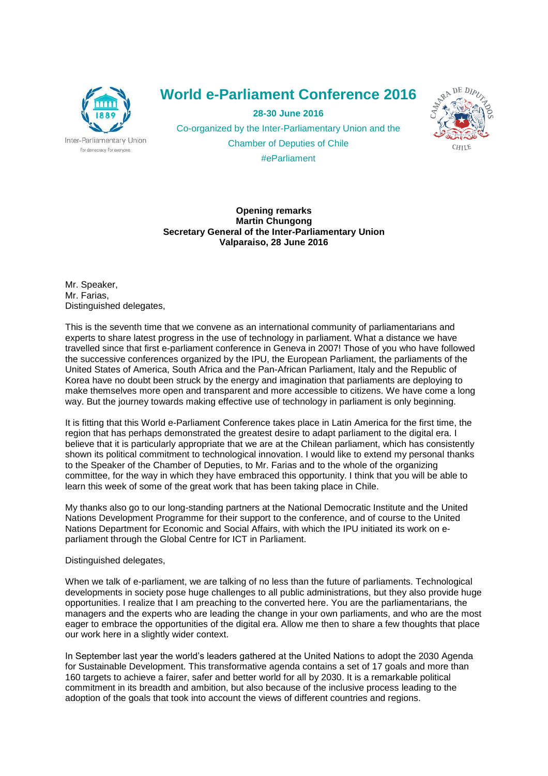

## **World e-Parliament Conference 2016**

**28-30 June 2016** Co-organized by the Inter-Parliamentary Union and the Chamber of Deputies of Chile #eParliament



**Opening remarks Martin Chungong Secretary General of the Inter-Parliamentary Union Valparaiso, 28 June 2016**

Mr. Speaker, Mr. Farias, Distinguished delegates,

This is the seventh time that we convene as an international community of parliamentarians and experts to share latest progress in the use of technology in parliament. What a distance we have travelled since that first e-parliament conference in Geneva in 2007! Those of you who have followed the successive conferences organized by the IPU, the European Parliament, the parliaments of the United States of America, South Africa and the Pan-African Parliament, Italy and the Republic of Korea have no doubt been struck by the energy and imagination that parliaments are deploying to make themselves more open and transparent and more accessible to citizens. We have come a long way. But the journey towards making effective use of technology in parliament is only beginning.

It is fitting that this World e-Parliament Conference takes place in Latin America for the first time, the region that has perhaps demonstrated the greatest desire to adapt parliament to the digital era. I believe that it is particularly appropriate that we are at the Chilean parliament, which has consistently shown its political commitment to technological innovation. I would like to extend my personal thanks to the Speaker of the Chamber of Deputies, to Mr. Farias and to the whole of the organizing committee, for the way in which they have embraced this opportunity. I think that you will be able to learn this week of some of the great work that has been taking place in Chile.

My thanks also go to our long-standing partners at the National Democratic Institute and the United Nations Development Programme for their support to the conference, and of course to the United Nations Department for Economic and Social Affairs, with which the IPU initiated its work on eparliament through the Global Centre for ICT in Parliament.

Distinguished delegates,

When we talk of e-parliament, we are talking of no less than the future of parliaments. Technological developments in society pose huge challenges to all public administrations, but they also provide huge opportunities. I realize that I am preaching to the converted here. You are the parliamentarians, the managers and the experts who are leading the change in your own parliaments, and who are the most eager to embrace the opportunities of the digital era. Allow me then to share a few thoughts that place our work here in a slightly wider context.

In September last year the world's leaders gathered at the United Nations to adopt the 2030 Agenda for Sustainable Development. This transformative agenda contains a set of 17 goals and more than 160 targets to achieve a fairer, safer and better world for all by 2030. It is a remarkable political commitment in its breadth and ambition, but also because of the inclusive process leading to the adoption of the goals that took into account the views of different countries and regions.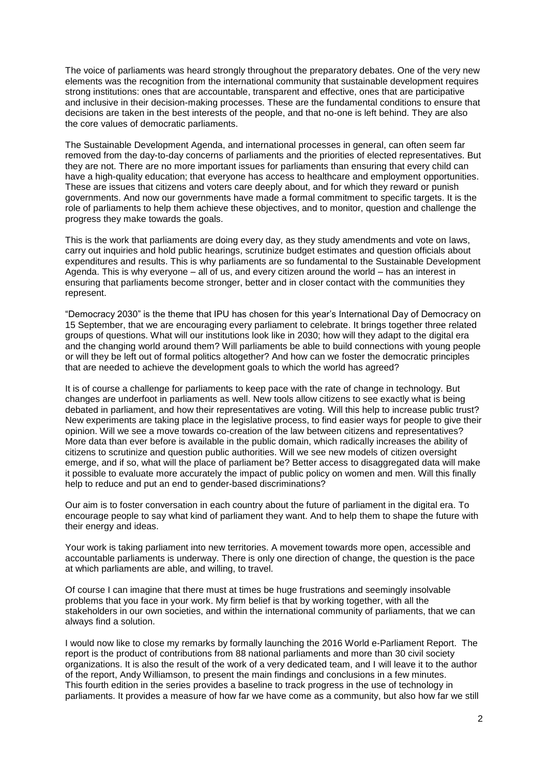The voice of parliaments was heard strongly throughout the preparatory debates. One of the very new elements was the recognition from the international community that sustainable development requires strong institutions: ones that are accountable, transparent and effective, ones that are participative and inclusive in their decision-making processes. These are the fundamental conditions to ensure that decisions are taken in the best interests of the people, and that no-one is left behind. They are also the core values of democratic parliaments.

The Sustainable Development Agenda, and international processes in general, can often seem far removed from the day-to-day concerns of parliaments and the priorities of elected representatives. But they are not. There are no more important issues for parliaments than ensuring that every child can have a high-quality education; that everyone has access to healthcare and employment opportunities. These are issues that citizens and voters care deeply about, and for which they reward or punish governments. And now our governments have made a formal commitment to specific targets. It is the role of parliaments to help them achieve these objectives, and to monitor, question and challenge the progress they make towards the goals.

This is the work that parliaments are doing every day, as they study amendments and vote on laws, carry out inquiries and hold public hearings, scrutinize budget estimates and question officials about expenditures and results. This is why parliaments are so fundamental to the Sustainable Development Agenda. This is why everyone – all of us, and every citizen around the world – has an interest in ensuring that parliaments become stronger, better and in closer contact with the communities they represent.

"Democracy 2030" is the theme that IPU has chosen for this year's International Day of Democracy on 15 September, that we are encouraging every parliament to celebrate. It brings together three related groups of questions. What will our institutions look like in 2030; how will they adapt to the digital era and the changing world around them? Will parliaments be able to build connections with young people or will they be left out of formal politics altogether? And how can we foster the democratic principles that are needed to achieve the development goals to which the world has agreed?

It is of course a challenge for parliaments to keep pace with the rate of change in technology. But changes are underfoot in parliaments as well. New tools allow citizens to see exactly what is being debated in parliament, and how their representatives are voting. Will this help to increase public trust? New experiments are taking place in the legislative process, to find easier ways for people to give their opinion. Will we see a move towards co-creation of the law between citizens and representatives? More data than ever before is available in the public domain, which radically increases the ability of citizens to scrutinize and question public authorities. Will we see new models of citizen oversight emerge, and if so, what will the place of parliament be? Better access to disaggregated data will make it possible to evaluate more accurately the impact of public policy on women and men. Will this finally help to reduce and put an end to gender-based discriminations?

Our aim is to foster conversation in each country about the future of parliament in the digital era. To encourage people to say what kind of parliament they want. And to help them to shape the future with their energy and ideas.

Your work is taking parliament into new territories. A movement towards more open, accessible and accountable parliaments is underway. There is only one direction of change, the question is the pace at which parliaments are able, and willing, to travel.

Of course I can imagine that there must at times be huge frustrations and seemingly insolvable problems that you face in your work. My firm belief is that by working together, with all the stakeholders in our own societies, and within the international community of parliaments, that we can always find a solution.

I would now like to close my remarks by formally launching the 2016 World e-Parliament Report. The report is the product of contributions from 88 national parliaments and more than 30 civil society organizations. It is also the result of the work of a very dedicated team, and I will leave it to the author of the report, Andy Williamson, to present the main findings and conclusions in a few minutes. This fourth edition in the series provides a baseline to track progress in the use of technology in parliaments. It provides a measure of how far we have come as a community, but also how far we still